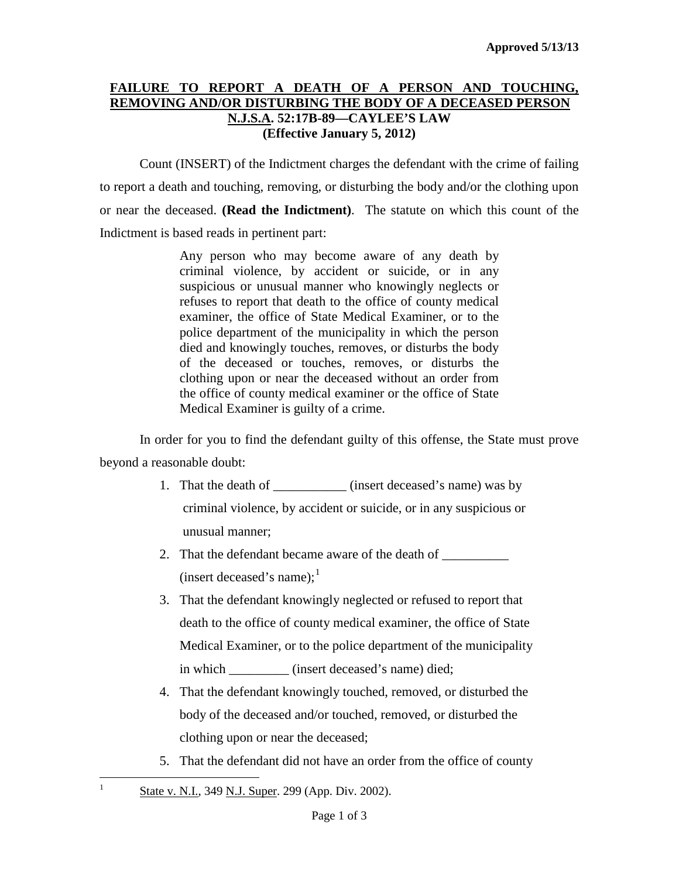## **FAILURE TO REPORT A DEATH OF A PERSON AND TOUCHING, REMOVING AND/OR DISTURBING THE BODY OF A DECEASED PERSON N.J.S.A. 52:17B-89—CAYLEE'S LAW (Effective January 5, 2012)**

Count (INSERT) of the Indictment charges the defendant with the crime of failing to report a death and touching, removing, or disturbing the body and/or the clothing upon or near the deceased. **(Read the Indictment)**. The statute on which this count of the Indictment is based reads in pertinent part:

> Any person who may become aware of any death by criminal violence, by accident or suicide, or in any suspicious or unusual manner who knowingly neglects or refuses to report that death to the office of county medical examiner, the office of State Medical Examiner, or to the police department of the municipality in which the person died and knowingly touches, removes, or disturbs the body of the deceased or touches, removes, or disturbs the clothing upon or near the deceased without an order from the office of county medical examiner or the office of State Medical Examiner is guilty of a crime.

In order for you to find the defendant guilty of this offense, the State must prove beyond a reasonable doubt:

- 1. That the death of \_\_\_\_\_\_\_\_\_\_\_ (insert deceased's name) was by criminal violence, by accident or suicide, or in any suspicious or unusual manner;
- 2. That the defendant became aware of the death of \_\_\_\_\_\_\_\_\_\_\_\_\_\_\_\_\_\_\_\_\_\_\_\_\_\_\_\_\_\_ (insert deceased's name); [1](#page-0-0)
- 3. That the defendant knowingly neglected or refused to report that death to the office of county medical examiner, the office of State Medical Examiner, or to the police department of the municipality in which  $(insert \, decreased's \, name) \, died;$
- 4. That the defendant knowingly touched, removed, or disturbed the body of the deceased and/or touched, removed, or disturbed the clothing upon or near the deceased;
- 5. That the defendant did not have an order from the office of county

 $\frac{1}{1}$ 

<span id="page-0-0"></span><sup>&</sup>lt;sup>1</sup> State v. N.I., 349 N.J. Super. 299 (App. Div. 2002).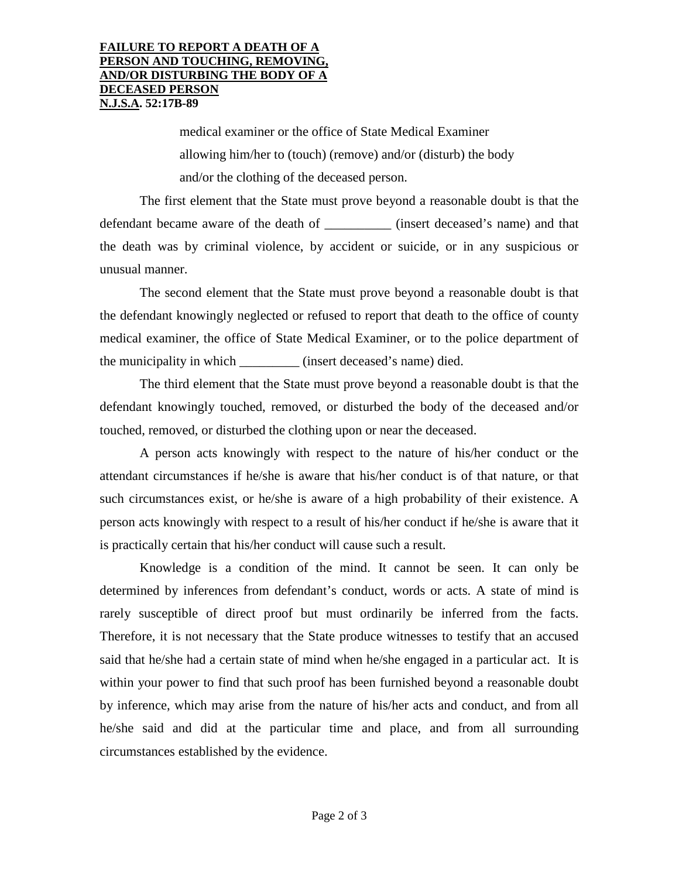## **FAILURE TO REPORT A DEATH OF A PERSON AND TOUCHING, REMOVING, AND/OR DISTURBING THE BODY OF A DECEASED PERSON N.J.S.A. 52:17B-89**

 medical examiner or the office of State Medical Examiner allowing him/her to (touch) (remove) and/or (disturb) the body and/or the clothing of the deceased person.

The first element that the State must prove beyond a reasonable doubt is that the defendant became aware of the death of \_\_\_\_\_\_\_\_\_\_ (insert deceased's name) and that the death was by criminal violence, by accident or suicide, or in any suspicious or unusual manner.

The second element that the State must prove beyond a reasonable doubt is that the defendant knowingly neglected or refused to report that death to the office of county medical examiner, the office of State Medical Examiner, or to the police department of the municipality in which \_\_\_\_\_\_\_\_\_ (insert deceased's name) died.

The third element that the State must prove beyond a reasonable doubt is that the defendant knowingly touched, removed, or disturbed the body of the deceased and/or touched, removed, or disturbed the clothing upon or near the deceased.

A person acts knowingly with respect to the nature of his/her conduct or the attendant circumstances if he/she is aware that his/her conduct is of that nature, or that such circumstances exist, or he/she is aware of a high probability of their existence. A person acts knowingly with respect to a result of his/her conduct if he/she is aware that it is practically certain that his/her conduct will cause such a result.

Knowledge is a condition of the mind. It cannot be seen. It can only be determined by inferences from defendant's conduct, words or acts. A state of mind is rarely susceptible of direct proof but must ordinarily be inferred from the facts. Therefore, it is not necessary that the State produce witnesses to testify that an accused said that he/she had a certain state of mind when he/she engaged in a particular act. It is within your power to find that such proof has been furnished beyond a reasonable doubt by inference, which may arise from the nature of his/her acts and conduct, and from all he/she said and did at the particular time and place, and from all surrounding circumstances established by the evidence.